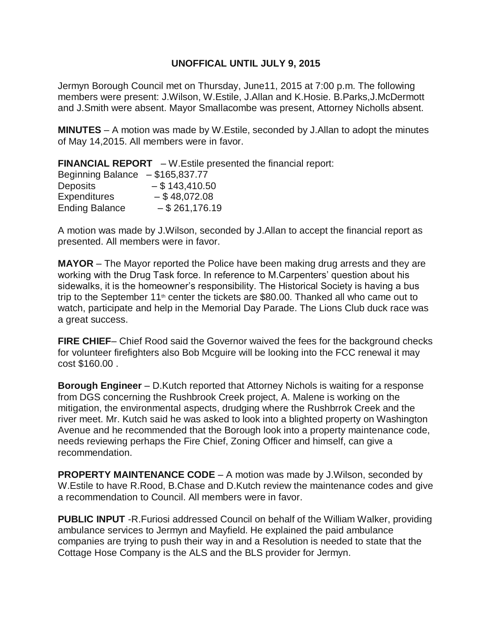## **UNOFFICAL UNTIL JULY 9, 2015**

Jermyn Borough Council met on Thursday, June11, 2015 at 7:00 p.m. The following members were present: J.Wilson, W.Estile, J.Allan and K.Hosie. B.Parks,J.McDermott and J.Smith were absent. Mayor Smallacombe was present, Attorney Nicholls absent.

**MINUTES** – A motion was made by W.Estile, seconded by J.Allan to adopt the minutes of May 14,2015. All members were in favor.

**FINANCIAL REPORT** – W.Estile presented the financial report:

| <b>Beginning Balance</b> | $-$ \$165,837.77 |
|--------------------------|------------------|
| <b>Deposits</b>          | $-$ \$143,410.50 |
| <b>Expenditures</b>      | $-$ \$48,072.08  |
| <b>Ending Balance</b>    | $-$ \$261,176.19 |

A motion was made by J.Wilson, seconded by J.Allan to accept the financial report as presented. All members were in favor.

**MAYOR** – The Mayor reported the Police have been making drug arrests and they are working with the Drug Task force. In reference to M.Carpenters' question about his sidewalks, it is the homeowner's responsibility. The Historical Society is having a bus trip to the September 11<sup>th</sup> center the tickets are \$80.00. Thanked all who came out to watch, participate and help in the Memorial Day Parade. The Lions Club duck race was a great success.

**FIRE CHIEF**– Chief Rood said the Governor waived the fees for the background checks for volunteer firefighters also Bob Mcguire will be looking into the FCC renewal it may cost \$160.00 .

**Borough Engineer** – D.Kutch reported that Attorney Nichols is waiting for a response from DGS concerning the Rushbrook Creek project, A. Malene is working on the mitigation, the environmental aspects, drudging where the Rushbrrok Creek and the river meet. Mr. Kutch said he was asked to look into a blighted property on Washington Avenue and he recommended that the Borough look into a property maintenance code, needs reviewing perhaps the Fire Chief, Zoning Officer and himself, can give a recommendation.

**PROPERTY MAINTENANCE CODE** – A motion was made by J.Wilson, seconded by W.Estile to have R.Rood, B.Chase and D.Kutch review the maintenance codes and give a recommendation to Council. All members were in favor.

**PUBLIC INPUT** -R.Furiosi addressed Council on behalf of the William Walker, providing ambulance services to Jermyn and Mayfield. He explained the paid ambulance companies are trying to push their way in and a Resolution is needed to state that the Cottage Hose Company is the ALS and the BLS provider for Jermyn.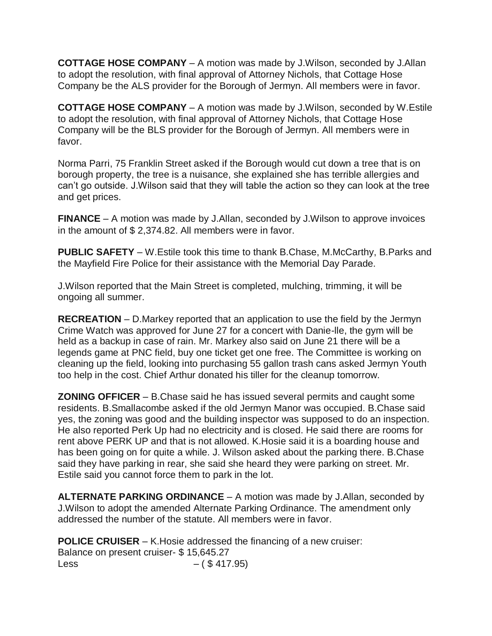**COTTAGE HOSE COMPANY** – A motion was made by J.Wilson, seconded by J.Allan to adopt the resolution, with final approval of Attorney Nichols, that Cottage Hose Company be the ALS provider for the Borough of Jermyn. All members were in favor.

**COTTAGE HOSE COMPANY** – A motion was made by J.Wilson, seconded by W.Estile to adopt the resolution, with final approval of Attorney Nichols, that Cottage Hose Company will be the BLS provider for the Borough of Jermyn. All members were in favor.

Norma Parri, 75 Franklin Street asked if the Borough would cut down a tree that is on borough property, the tree is a nuisance, she explained she has terrible allergies and can't go outside. J.Wilson said that they will table the action so they can look at the tree and get prices.

**FINANCE** – A motion was made by J.Allan, seconded by J.Wilson to approve invoices in the amount of \$ 2,374.82. All members were in favor.

**PUBLIC SAFETY** – W.Estile took this time to thank B.Chase, M.McCarthy, B.Parks and the Mayfield Fire Police for their assistance with the Memorial Day Parade.

J.Wilson reported that the Main Street is completed, mulching, trimming, it will be ongoing all summer.

**RECREATION** – D.Markey reported that an application to use the field by the Jermyn Crime Watch was approved for June 27 for a concert with Danie-lle, the gym will be held as a backup in case of rain. Mr. Markey also said on June 21 there will be a legends game at PNC field, buy one ticket get one free. The Committee is working on cleaning up the field, looking into purchasing 55 gallon trash cans asked Jermyn Youth too help in the cost. Chief Arthur donated his tiller for the cleanup tomorrow.

**ZONING OFFICER** – B.Chase said he has issued several permits and caught some residents. B.Smallacombe asked if the old Jermyn Manor was occupied. B.Chase said yes, the zoning was good and the building inspector was supposed to do an inspection. He also reported Perk Up had no electricity and is closed. He said there are rooms for rent above PERK UP and that is not allowed. K.Hosie said it is a boarding house and has been going on for quite a while. J. Wilson asked about the parking there. B.Chase said they have parking in rear, she said she heard they were parking on street. Mr. Estile said you cannot force them to park in the lot.

**ALTERNATE PARKING ORDINANCE** – A motion was made by J.Allan, seconded by J.Wilson to adopt the amended Alternate Parking Ordinance. The amendment only addressed the number of the statute. All members were in favor.

**POLICE CRUISER** – K.Hosie addressed the financing of a new cruiser: Balance on present cruiser- \$ 15,645.27 Less  $- ( $ 417.95)$